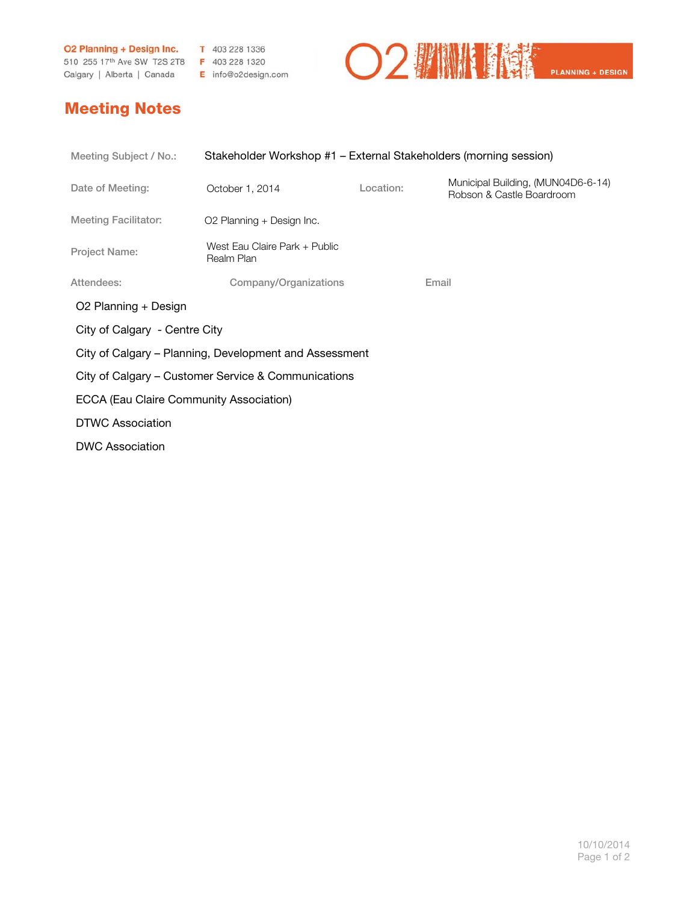**O2 Planning + Design Inc.** T 403 228 1336<br>510 255 17<sup>th</sup> Ave SW T2S 2T8 F 403 228 1320 Calgary | Alberta | Canada E info@o2design.com



## Meeting Notes

| Meeting Subject / No.:                                 | Stakeholder Workshop #1 – External Stakeholders (morning session) |           |                                                                 |  |
|--------------------------------------------------------|-------------------------------------------------------------------|-----------|-----------------------------------------------------------------|--|
| Date of Meeting:                                       | October 1, 2014                                                   | Location: | Municipal Building, (MUN04D6-6-14)<br>Robson & Castle Boardroom |  |
| <b>Meeting Facilitator:</b>                            | O2 Planning + Design Inc.                                         |           |                                                                 |  |
| <b>Project Name:</b>                                   | West Eau Claire Park + Public<br>Realm Plan                       |           |                                                                 |  |
| Attendees:                                             | Company/Organizations                                             |           | Email                                                           |  |
| O2 Planning + Design                                   |                                                                   |           |                                                                 |  |
| City of Calgary - Centre City                          |                                                                   |           |                                                                 |  |
| City of Calgary – Planning, Development and Assessment |                                                                   |           |                                                                 |  |
| City of Calgary – Customer Service & Communications    |                                                                   |           |                                                                 |  |
| ECCA (Eau Claire Community Association)                |                                                                   |           |                                                                 |  |
| <b>DTWC Association</b>                                |                                                                   |           |                                                                 |  |
| <b>DWC Association</b>                                 |                                                                   |           |                                                                 |  |
|                                                        |                                                                   |           |                                                                 |  |